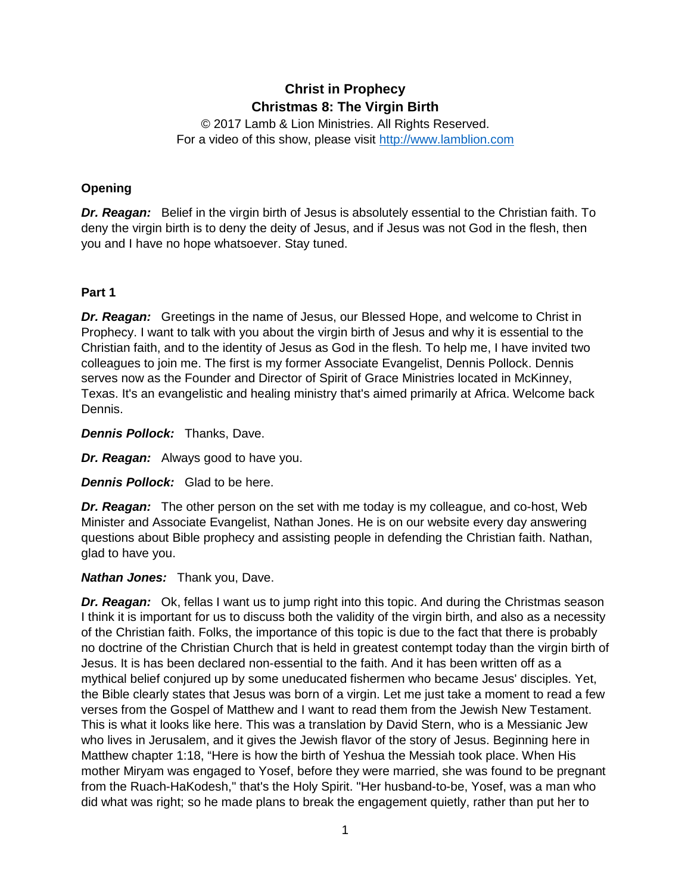# **Christ in Prophecy Christmas 8: The Virgin Birth**

© 2017 Lamb & Lion Ministries. All Rights Reserved. For a video of this show, please visit [http://www.lamblion.com](http://www.lamblion.com/)

## **Opening**

**Dr. Reagan:** Belief in the virgin birth of Jesus is absolutely essential to the Christian faith. To deny the virgin birth is to deny the deity of Jesus, and if Jesus was not God in the flesh, then you and I have no hope whatsoever. Stay tuned.

## **Part 1**

**Dr. Reagan:** Greetings in the name of Jesus, our Blessed Hope, and welcome to Christ in Prophecy. I want to talk with you about the virgin birth of Jesus and why it is essential to the Christian faith, and to the identity of Jesus as God in the flesh. To help me, I have invited two colleagues to join me. The first is my former Associate Evangelist, Dennis Pollock. Dennis serves now as the Founder and Director of Spirit of Grace Ministries located in McKinney, Texas. It's an evangelistic and healing ministry that's aimed primarily at Africa. Welcome back Dennis.

*Dennis Pollock:* Thanks, Dave.

*Dr. Reagan:* Always good to have you.

*Dennis Pollock:* Glad to be here.

*Dr. Reagan:* The other person on the set with me today is my colleague, and co-host, Web Minister and Associate Evangelist, Nathan Jones. He is on our website every day answering questions about Bible prophecy and assisting people in defending the Christian faith. Nathan, glad to have you.

## *Nathan Jones:* Thank you, Dave.

**Dr. Reagan:** Ok, fellas I want us to jump right into this topic. And during the Christmas season I think it is important for us to discuss both the validity of the virgin birth, and also as a necessity of the Christian faith. Folks, the importance of this topic is due to the fact that there is probably no doctrine of the Christian Church that is held in greatest contempt today than the virgin birth of Jesus. It is has been declared non-essential to the faith. And it has been written off as a mythical belief conjured up by some uneducated fishermen who became Jesus' disciples. Yet, the Bible clearly states that Jesus was born of a virgin. Let me just take a moment to read a few verses from the Gospel of Matthew and I want to read them from the Jewish New Testament. This is what it looks like here. This was a translation by David Stern, who is a Messianic Jew who lives in Jerusalem, and it gives the Jewish flavor of the story of Jesus. Beginning here in Matthew chapter 1:18, "Here is how the birth of Yeshua the Messiah took place. When His mother Miryam was engaged to Yosef, before they were married, she was found to be pregnant from the Ruach-HaKodesh," that's the Holy Spirit. "Her husband-to-be, Yosef, was a man who did what was right; so he made plans to break the engagement quietly, rather than put her to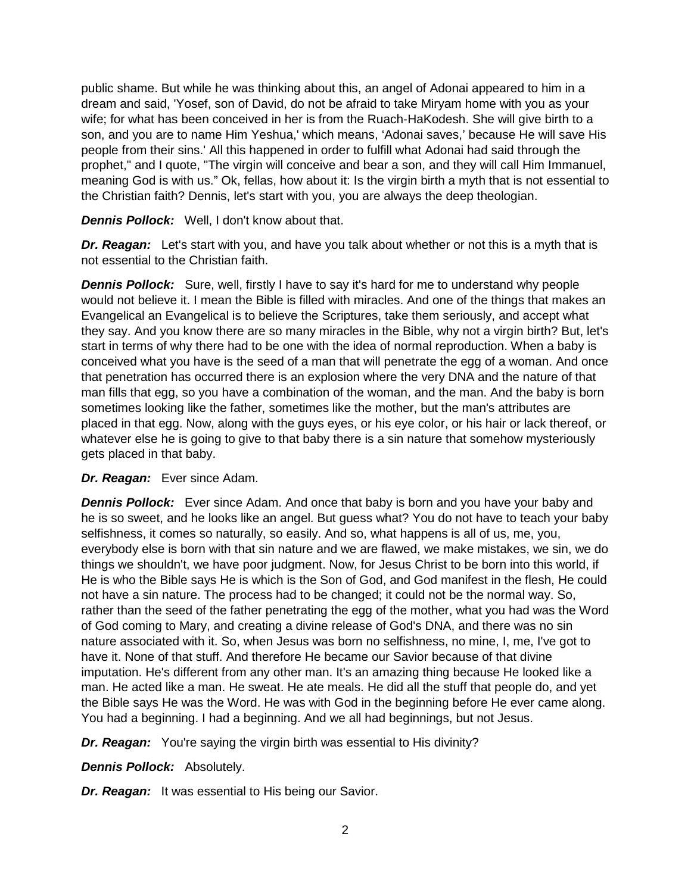public shame. But while he was thinking about this, an angel of Adonai appeared to him in a dream and said, 'Yosef, son of David, do not be afraid to take Miryam home with you as your wife; for what has been conceived in her is from the Ruach-HaKodesh. She will give birth to a son, and you are to name Him Yeshua,' which means, 'Adonai saves,' because He will save His people from their sins.' All this happened in order to fulfill what Adonai had said through the prophet," and I quote, "The virgin will conceive and bear a son, and they will call Him Immanuel, meaning God is with us." Ok, fellas, how about it: Is the virgin birth a myth that is not essential to the Christian faith? Dennis, let's start with you, you are always the deep theologian.

*Dennis Pollock:* Well, I don't know about that.

**Dr. Reagan:** Let's start with you, and have you talk about whether or not this is a myth that is not essential to the Christian faith.

**Dennis Pollock:** Sure, well, firstly I have to say it's hard for me to understand why people would not believe it. I mean the Bible is filled with miracles. And one of the things that makes an Evangelical an Evangelical is to believe the Scriptures, take them seriously, and accept what they say. And you know there are so many miracles in the Bible, why not a virgin birth? But, let's start in terms of why there had to be one with the idea of normal reproduction. When a baby is conceived what you have is the seed of a man that will penetrate the egg of a woman. And once that penetration has occurred there is an explosion where the very DNA and the nature of that man fills that egg, so you have a combination of the woman, and the man. And the baby is born sometimes looking like the father, sometimes like the mother, but the man's attributes are placed in that egg. Now, along with the guys eyes, or his eye color, or his hair or lack thereof, or whatever else he is going to give to that baby there is a sin nature that somehow mysteriously gets placed in that baby.

#### *Dr. Reagan:* Ever since Adam.

**Dennis Pollock:** Ever since Adam. And once that baby is born and you have your baby and he is so sweet, and he looks like an angel. But guess what? You do not have to teach your baby selfishness, it comes so naturally, so easily. And so, what happens is all of us, me, you, everybody else is born with that sin nature and we are flawed, we make mistakes, we sin, we do things we shouldn't, we have poor judgment. Now, for Jesus Christ to be born into this world, if He is who the Bible says He is which is the Son of God, and God manifest in the flesh, He could not have a sin nature. The process had to be changed; it could not be the normal way. So, rather than the seed of the father penetrating the egg of the mother, what you had was the Word of God coming to Mary, and creating a divine release of God's DNA, and there was no sin nature associated with it. So, when Jesus was born no selfishness, no mine, I, me, I've got to have it. None of that stuff. And therefore He became our Savior because of that divine imputation. He's different from any other man. It's an amazing thing because He looked like a man. He acted like a man. He sweat. He ate meals. He did all the stuff that people do, and yet the Bible says He was the Word. He was with God in the beginning before He ever came along. You had a beginning. I had a beginning. And we all had beginnings, but not Jesus.

*Dr. Reagan:* You're saying the virgin birth was essential to His divinity?

*Dennis Pollock:* Absolutely.

*Dr. Reagan:* It was essential to His being our Savior.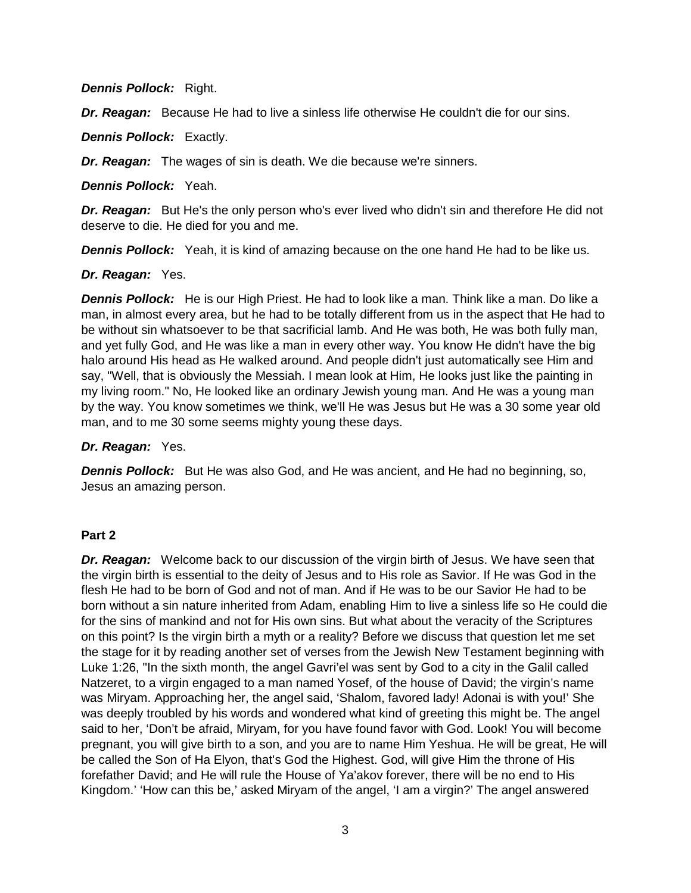*Dennis Pollock: Right.* 

**Dr. Reagan:** Because He had to live a sinless life otherwise He couldn't die for our sins.

*Dennis Pollock:* Exactly.

*Dr. Reagan:* The wages of sin is death. We die because we're sinners.

*Dennis Pollock:* Yeah.

**Dr. Reagan:** But He's the only person who's ever lived who didn't sin and therefore He did not deserve to die. He died for you and me.

**Dennis Pollock:** Yeah, it is kind of amazing because on the one hand He had to be like us.

## *Dr. Reagan:* Yes.

*Dennis Pollock:* He is our High Priest. He had to look like a man. Think like a man. Do like a man, in almost every area, but he had to be totally different from us in the aspect that He had to be without sin whatsoever to be that sacrificial lamb. And He was both, He was both fully man, and yet fully God, and He was like a man in every other way. You know He didn't have the big halo around His head as He walked around. And people didn't just automatically see Him and say, "Well, that is obviously the Messiah. I mean look at Him, He looks just like the painting in my living room." No, He looked like an ordinary Jewish young man. And He was a young man by the way. You know sometimes we think, we'll He was Jesus but He was a 30 some year old man, and to me 30 some seems mighty young these days.

*Dr. Reagan:* Yes.

**Dennis Pollock:** But He was also God, and He was ancient, and He had no beginning, so, Jesus an amazing person.

## **Part 2**

**Dr. Reagan:** Welcome back to our discussion of the virgin birth of Jesus. We have seen that the virgin birth is essential to the deity of Jesus and to His role as Savior. If He was God in the flesh He had to be born of God and not of man. And if He was to be our Savior He had to be born without a sin nature inherited from Adam, enabling Him to live a sinless life so He could die for the sins of mankind and not for His own sins. But what about the veracity of the Scriptures on this point? Is the virgin birth a myth or a reality? Before we discuss that question let me set the stage for it by reading another set of verses from the Jewish New Testament beginning with Luke 1:26, "In the sixth month, the angel Gavri'el was sent by God to a city in the Galil called Natzeret, to a virgin engaged to a man named Yosef, of the house of David; the virgin's name was Miryam. Approaching her, the angel said, 'Shalom, favored lady! Adonai is with you!' She was deeply troubled by his words and wondered what kind of greeting this might be. The angel said to her, 'Don't be afraid, Miryam, for you have found favor with God. Look! You will become pregnant, you will give birth to a son, and you are to name Him Yeshua. He will be great, He will be called the Son of Ha Elyon, that's God the Highest. God, will give Him the throne of His forefather David; and He will rule the House of Ya'akov forever, there will be no end to His Kingdom.' 'How can this be,' asked Miryam of the angel, 'I am a virgin?' The angel answered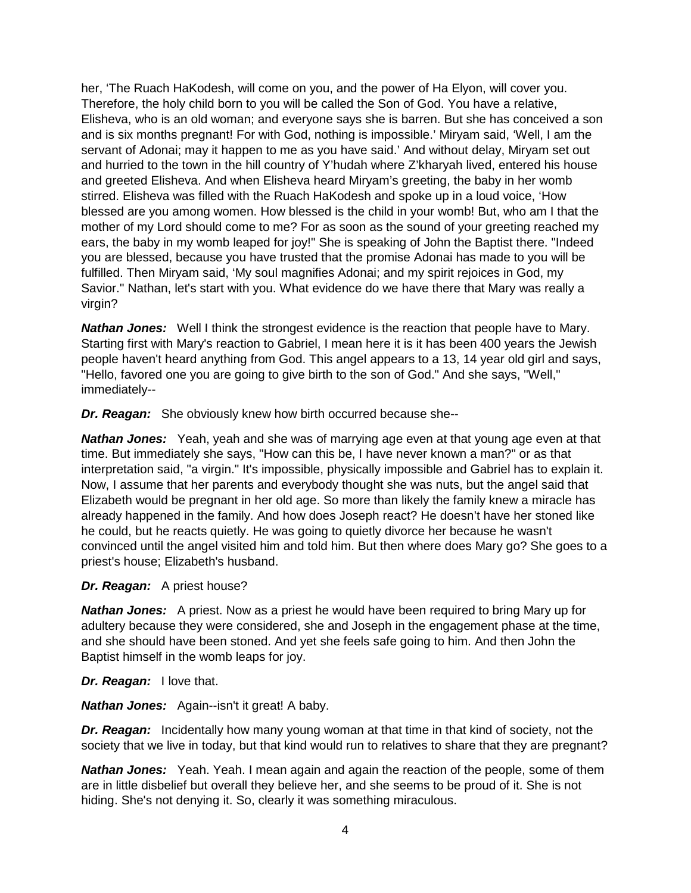her, 'The Ruach HaKodesh, will come on you, and the power of Ha Elyon, will cover you. Therefore, the holy child born to you will be called the Son of God. You have a relative, Elisheva, who is an old woman; and everyone says she is barren. But she has conceived a son and is six months pregnant! For with God, nothing is impossible.' Miryam said, 'Well, I am the servant of Adonai; may it happen to me as you have said.' And without delay, Miryam set out and hurried to the town in the hill country of Y'hudah where Z'kharyah lived, entered his house and greeted Elisheva. And when Elisheva heard Miryam's greeting, the baby in her womb stirred. Elisheva was filled with the Ruach HaKodesh and spoke up in a loud voice, 'How blessed are you among women. How blessed is the child in your womb! But, who am I that the mother of my Lord should come to me? For as soon as the sound of your greeting reached my ears, the baby in my womb leaped for joy!" She is speaking of John the Baptist there. "Indeed you are blessed, because you have trusted that the promise Adonai has made to you will be fulfilled. Then Miryam said, 'My soul magnifies Adonai; and my spirit rejoices in God, my Savior." Nathan, let's start with you. What evidence do we have there that Mary was really a virgin?

**Nathan Jones:** Well I think the strongest evidence is the reaction that people have to Mary. Starting first with Mary's reaction to Gabriel, I mean here it is it has been 400 years the Jewish people haven't heard anything from God. This angel appears to a 13, 14 year old girl and says, "Hello, favored one you are going to give birth to the son of God." And she says, "Well," immediately--

*Dr. Reagan:* She obviously knew how birth occurred because she--

*Nathan Jones:* Yeah, yeah and she was of marrying age even at that young age even at that time. But immediately she says, "How can this be, I have never known a man?" or as that interpretation said, "a virgin." It's impossible, physically impossible and Gabriel has to explain it. Now, I assume that her parents and everybody thought she was nuts, but the angel said that Elizabeth would be pregnant in her old age. So more than likely the family knew a miracle has already happened in the family. And how does Joseph react? He doesn't have her stoned like he could, but he reacts quietly. He was going to quietly divorce her because he wasn't convinced until the angel visited him and told him. But then where does Mary go? She goes to a priest's house; Elizabeth's husband.

## *Dr. Reagan:* A priest house?

*Nathan Jones:* A priest. Now as a priest he would have been required to bring Mary up for adultery because they were considered, she and Joseph in the engagement phase at the time, and she should have been stoned. And yet she feels safe going to him. And then John the Baptist himself in the womb leaps for joy.

#### *Dr. Reagan:* I love that.

*Nathan Jones:* Again--isn't it great! A baby.

**Dr. Reagan:** Incidentally how many young woman at that time in that kind of society, not the society that we live in today, but that kind would run to relatives to share that they are pregnant?

**Nathan Jones:** Yeah. Yeah. I mean again and again the reaction of the people, some of them are in little disbelief but overall they believe her, and she seems to be proud of it. She is not hiding. She's not denying it. So, clearly it was something miraculous.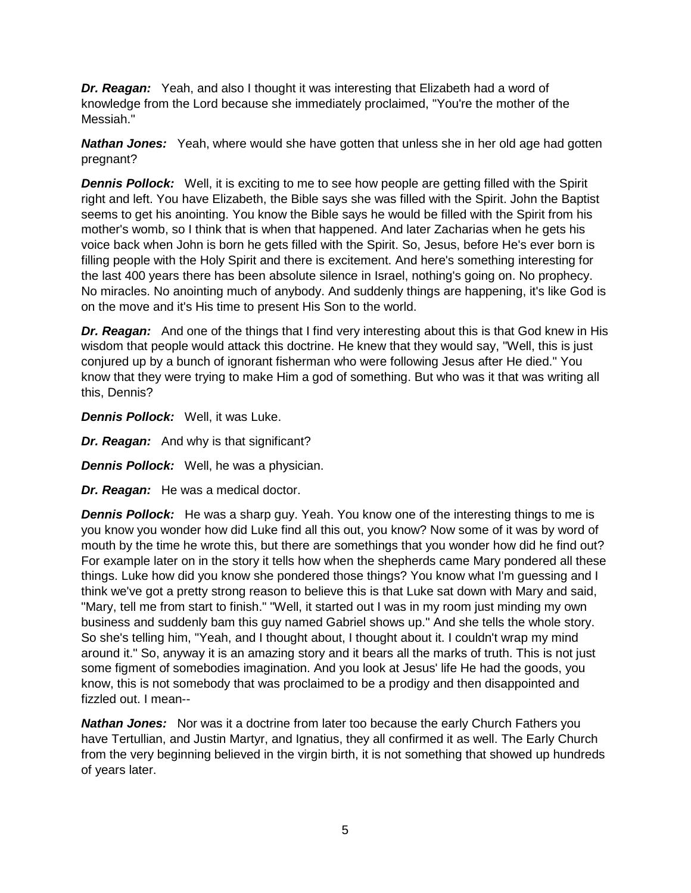**Dr. Reagan:** Yeah, and also I thought it was interesting that Elizabeth had a word of knowledge from the Lord because she immediately proclaimed, "You're the mother of the Messiah."

**Nathan Jones:** Yeah, where would she have gotten that unless she in her old age had gotten pregnant?

**Dennis Pollock:** Well, it is exciting to me to see how people are getting filled with the Spirit right and left. You have Elizabeth, the Bible says she was filled with the Spirit. John the Baptist seems to get his anointing. You know the Bible says he would be filled with the Spirit from his mother's womb, so I think that is when that happened. And later Zacharias when he gets his voice back when John is born he gets filled with the Spirit. So, Jesus, before He's ever born is filling people with the Holy Spirit and there is excitement. And here's something interesting for the last 400 years there has been absolute silence in Israel, nothing's going on. No prophecy. No miracles. No anointing much of anybody. And suddenly things are happening, it's like God is on the move and it's His time to present His Son to the world.

**Dr. Reagan:** And one of the things that I find very interesting about this is that God knew in His wisdom that people would attack this doctrine. He knew that they would say, "Well, this is just conjured up by a bunch of ignorant fisherman who were following Jesus after He died." You know that they were trying to make Him a god of something. But who was it that was writing all this, Dennis?

*Dennis Pollock:* Well, it was Luke.

*Dr. Reagan:* And why is that significant?

*Dennis Pollock:* Well, he was a physician.

*Dr. Reagan:* He was a medical doctor.

**Dennis Pollock:** He was a sharp guy. Yeah. You know one of the interesting things to me is you know you wonder how did Luke find all this out, you know? Now some of it was by word of mouth by the time he wrote this, but there are somethings that you wonder how did he find out? For example later on in the story it tells how when the shepherds came Mary pondered all these things. Luke how did you know she pondered those things? You know what I'm guessing and I think we've got a pretty strong reason to believe this is that Luke sat down with Mary and said, "Mary, tell me from start to finish." "Well, it started out I was in my room just minding my own business and suddenly bam this guy named Gabriel shows up." And she tells the whole story. So she's telling him, "Yeah, and I thought about, I thought about it. I couldn't wrap my mind around it." So, anyway it is an amazing story and it bears all the marks of truth. This is not just some figment of somebodies imagination. And you look at Jesus' life He had the goods, you know, this is not somebody that was proclaimed to be a prodigy and then disappointed and fizzled out. I mean--

**Nathan Jones:** Nor was it a doctrine from later too because the early Church Fathers you have Tertullian, and Justin Martyr, and Ignatius, they all confirmed it as well. The Early Church from the very beginning believed in the virgin birth, it is not something that showed up hundreds of years later.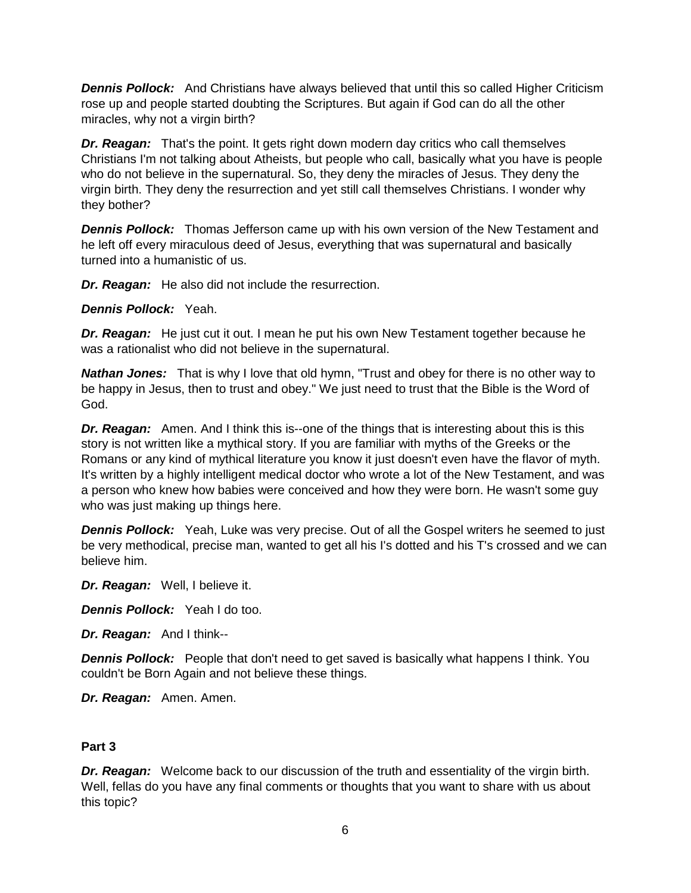**Dennis Pollock:** And Christians have always believed that until this so called Higher Criticism rose up and people started doubting the Scriptures. But again if God can do all the other miracles, why not a virgin birth?

*Dr. Reagan:* That's the point. It gets right down modern day critics who call themselves Christians I'm not talking about Atheists, but people who call, basically what you have is people who do not believe in the supernatural. So, they deny the miracles of Jesus. They deny the virgin birth. They deny the resurrection and yet still call themselves Christians. I wonder why they bother?

*Dennis Pollock:* Thomas Jefferson came up with his own version of the New Testament and he left off every miraculous deed of Jesus, everything that was supernatural and basically turned into a humanistic of us.

*Dr. Reagan:* He also did not include the resurrection.

*Dennis Pollock:* Yeah.

**Dr. Reagan:** He just cut it out. I mean he put his own New Testament together because he was a rationalist who did not believe in the supernatural.

*Nathan Jones:* That is why I love that old hymn, "Trust and obey for there is no other way to be happy in Jesus, then to trust and obey." We just need to trust that the Bible is the Word of God.

*Dr. Reagan:* Amen. And I think this is--one of the things that is interesting about this is this story is not written like a mythical story. If you are familiar with myths of the Greeks or the Romans or any kind of mythical literature you know it just doesn't even have the flavor of myth. It's written by a highly intelligent medical doctor who wrote a lot of the New Testament, and was a person who knew how babies were conceived and how they were born. He wasn't some guy who was just making up things here.

**Dennis Pollock:** Yeah, Luke was very precise. Out of all the Gospel writers he seemed to just be very methodical, precise man, wanted to get all his I's dotted and his T's crossed and we can believe him.

*Dr. Reagan:* Well, I believe it.

*Dennis Pollock:* Yeah I do too.

*Dr. Reagan:* And I think--

**Dennis Pollock:** People that don't need to get saved is basically what happens I think. You couldn't be Born Again and not believe these things.

*Dr. Reagan:* Amen. Amen.

## **Part 3**

*Dr. Reagan:* Welcome back to our discussion of the truth and essentiality of the virgin birth. Well, fellas do you have any final comments or thoughts that you want to share with us about this topic?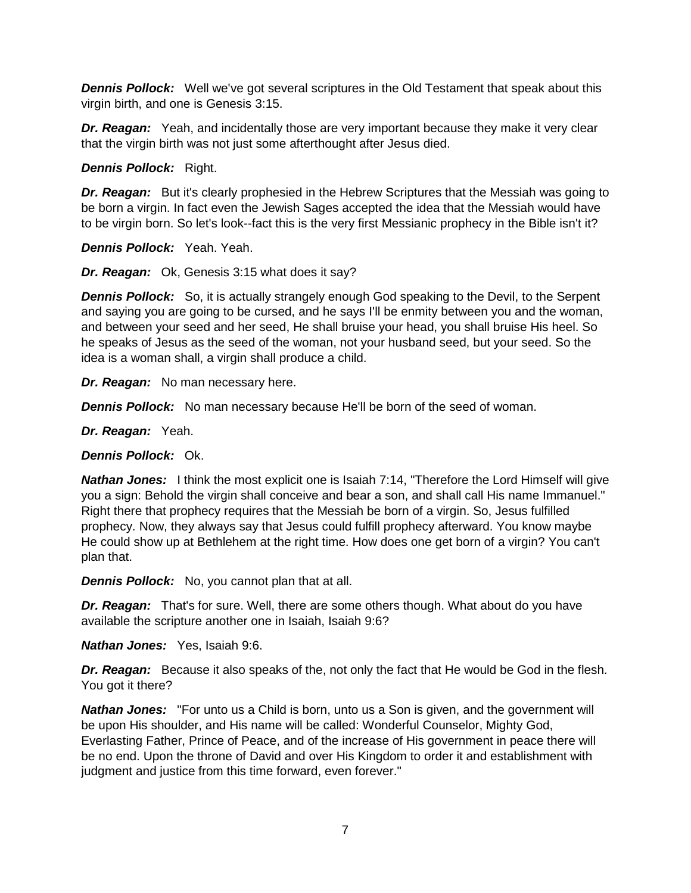**Dennis Pollock:** Well we've got several scriptures in the Old Testament that speak about this virgin birth, and one is Genesis 3:15.

**Dr. Reagan:** Yeah, and incidentally those are very important because they make it very clear that the virgin birth was not just some afterthought after Jesus died.

*Dennis Pollock:* Right.

**Dr. Reagan:** But it's clearly prophesied in the Hebrew Scriptures that the Messiah was going to be born a virgin. In fact even the Jewish Sages accepted the idea that the Messiah would have to be virgin born. So let's look--fact this is the very first Messianic prophecy in the Bible isn't it?

*Dennis Pollock:* Yeah. Yeah.

*Dr. Reagan:* Ok, Genesis 3:15 what does it say?

**Dennis Pollock:** So, it is actually strangely enough God speaking to the Devil, to the Serpent and saying you are going to be cursed, and he says I'll be enmity between you and the woman, and between your seed and her seed, He shall bruise your head, you shall bruise His heel. So he speaks of Jesus as the seed of the woman, not your husband seed, but your seed. So the idea is a woman shall, a virgin shall produce a child.

*Dr. Reagan:* No man necessary here.

**Dennis Pollock:** No man necessary because He'll be born of the seed of woman.

*Dr. Reagan:* Yeah.

*Dennis Pollock:* Ok.

*Nathan Jones:* I think the most explicit one is Isaiah 7:14, "Therefore the Lord Himself will give you a sign: Behold the virgin shall conceive and bear a son, and shall call His name Immanuel." Right there that prophecy requires that the Messiah be born of a virgin. So, Jesus fulfilled prophecy. Now, they always say that Jesus could fulfill prophecy afterward. You know maybe He could show up at Bethlehem at the right time. How does one get born of a virgin? You can't plan that.

*Dennis Pollock:* No, you cannot plan that at all.

*Dr. Reagan:* That's for sure. Well, there are some others though. What about do you have available the scripture another one in Isaiah, Isaiah 9:6?

*Nathan Jones:* Yes, Isaiah 9:6.

**Dr. Reagan:** Because it also speaks of the, not only the fact that He would be God in the flesh. You got it there?

**Nathan Jones:** "For unto us a Child is born, unto us a Son is given, and the government will be upon His shoulder, and His name will be called: Wonderful Counselor, Mighty God, Everlasting Father, Prince of Peace, and of the increase of His government in peace there will be no end. Upon the throne of David and over His Kingdom to order it and establishment with judgment and justice from this time forward, even forever."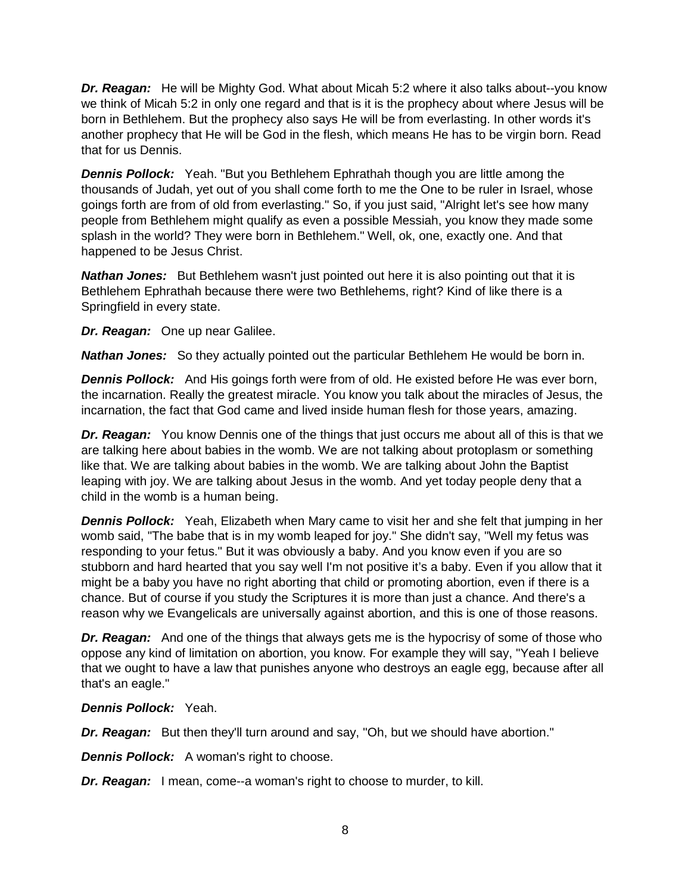**Dr. Reagan:** He will be Mighty God. What about Micah 5:2 where it also talks about--you know we think of Micah 5:2 in only one regard and that is it is the prophecy about where Jesus will be born in Bethlehem. But the prophecy also says He will be from everlasting. In other words it's another prophecy that He will be God in the flesh, which means He has to be virgin born. Read that for us Dennis.

**Dennis Pollock:** Yeah. "But you Bethlehem Ephrathah though you are little among the thousands of Judah, yet out of you shall come forth to me the One to be ruler in Israel, whose goings forth are from of old from everlasting." So, if you just said, "Alright let's see how many people from Bethlehem might qualify as even a possible Messiah, you know they made some splash in the world? They were born in Bethlehem." Well, ok, one, exactly one. And that happened to be Jesus Christ.

**Nathan Jones:** But Bethlehem wasn't just pointed out here it is also pointing out that it is Bethlehem Ephrathah because there were two Bethlehems, right? Kind of like there is a Springfield in every state.

*Dr. Reagan:* One up near Galilee.

*Nathan Jones:* So they actually pointed out the particular Bethlehem He would be born in.

**Dennis Pollock:** And His goings forth were from of old. He existed before He was ever born, the incarnation. Really the greatest miracle. You know you talk about the miracles of Jesus, the incarnation, the fact that God came and lived inside human flesh for those years, amazing.

**Dr. Reagan:** You know Dennis one of the things that just occurs me about all of this is that we are talking here about babies in the womb. We are not talking about protoplasm or something like that. We are talking about babies in the womb. We are talking about John the Baptist leaping with joy. We are talking about Jesus in the womb. And yet today people deny that a child in the womb is a human being.

**Dennis Pollock:** Yeah, Elizabeth when Mary came to visit her and she felt that jumping in her womb said, "The babe that is in my womb leaped for joy." She didn't say, "Well my fetus was responding to your fetus." But it was obviously a baby. And you know even if you are so stubborn and hard hearted that you say well I'm not positive it's a baby. Even if you allow that it might be a baby you have no right aborting that child or promoting abortion, even if there is a chance. But of course if you study the Scriptures it is more than just a chance. And there's a reason why we Evangelicals are universally against abortion, and this is one of those reasons.

**Dr. Reagan:** And one of the things that always gets me is the hypocrisy of some of those who oppose any kind of limitation on abortion, you know. For example they will say, "Yeah I believe that we ought to have a law that punishes anyone who destroys an eagle egg, because after all that's an eagle."

*Dennis Pollock:* Yeah.

*Dr. Reagan:* But then they'll turn around and say, "Oh, but we should have abortion."

**Dennis Pollock:** A woman's right to choose.

*Dr. Reagan:* I mean, come--a woman's right to choose to murder, to kill.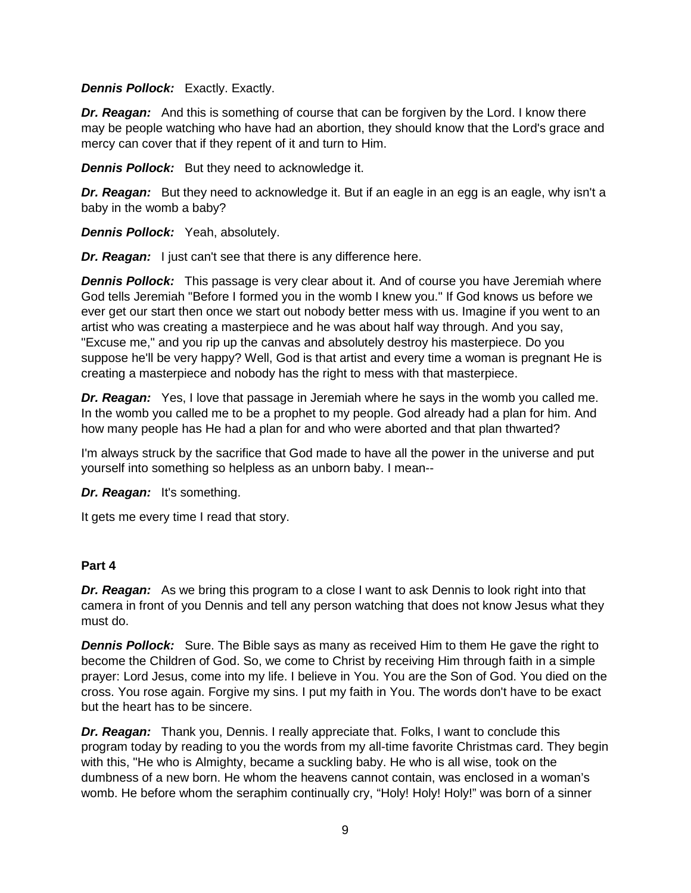#### *Dennis Pollock:* Exactly. Exactly.

**Dr. Reagan:** And this is something of course that can be forgiven by the Lord. I know there may be people watching who have had an abortion, they should know that the Lord's grace and mercy can cover that if they repent of it and turn to Him.

*Dennis Pollock:* But they need to acknowledge it.

**Dr. Reagan:** But they need to acknowledge it. But if an eagle in an egg is an eagle, why isn't a baby in the womb a baby?

*Dennis Pollock:* Yeah, absolutely.

*Dr. Reagan:* I just can't see that there is any difference here.

*Dennis Pollock:* This passage is very clear about it. And of course you have Jeremiah where God tells Jeremiah "Before I formed you in the womb I knew you." If God knows us before we ever get our start then once we start out nobody better mess with us. Imagine if you went to an artist who was creating a masterpiece and he was about half way through. And you say, "Excuse me," and you rip up the canvas and absolutely destroy his masterpiece. Do you suppose he'll be very happy? Well, God is that artist and every time a woman is pregnant He is creating a masterpiece and nobody has the right to mess with that masterpiece.

*Dr. Reagan:* Yes, I love that passage in Jeremiah where he says in the womb you called me. In the womb you called me to be a prophet to my people. God already had a plan for him. And how many people has He had a plan for and who were aborted and that plan thwarted?

I'm always struck by the sacrifice that God made to have all the power in the universe and put yourself into something so helpless as an unborn baby. I mean--

*Dr. Reagan:* It's something.

It gets me every time I read that story.

#### **Part 4**

**Dr. Reagan:** As we bring this program to a close I want to ask Dennis to look right into that camera in front of you Dennis and tell any person watching that does not know Jesus what they must do.

**Dennis Pollock:** Sure. The Bible says as many as received Him to them He gave the right to become the Children of God. So, we come to Christ by receiving Him through faith in a simple prayer: Lord Jesus, come into my life. I believe in You. You are the Son of God. You died on the cross. You rose again. Forgive my sins. I put my faith in You. The words don't have to be exact but the heart has to be sincere.

*Dr. Reagan:* Thank you, Dennis. I really appreciate that. Folks, I want to conclude this program today by reading to you the words from my all-time favorite Christmas card. They begin with this, "He who is Almighty, became a suckling baby. He who is all wise, took on the dumbness of a new born. He whom the heavens cannot contain, was enclosed in a woman's womb. He before whom the seraphim continually cry, "Holy! Holy! Holy!" was born of a sinner